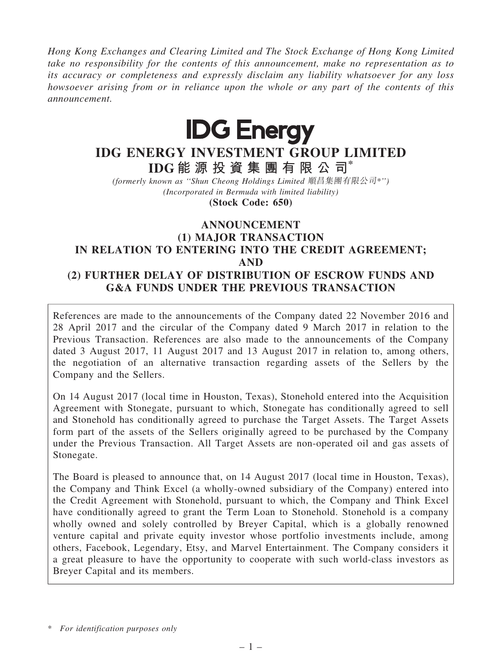Hong Kong Exchanges and Clearing Limited and The Stock Exchange of Hong Kong Limited take no responsibility for the contents of this announcement, make no representation as to its accuracy or completeness and expressly disclaim any liability whatsoever for any loss howsoever arising from or in reliance upon the whole or any part of the contents of this announcement.



# IDG ENERGY INVESTMENT GROUP LIMITED IDG 能 源 投 資 集 團 有 限 公 司\*

(formerly known as ''Shun Cheong Holdings Limited 順昌集團有限公司\*'') (Incorporated in Bermuda with limited liability)

(Stock Code: 650)

### **ANNOUNCEMENT** (1) MAJOR TRANSACTION

# IN RELATION TO ENTERING INTO THE CREDIT AGREEMENT; AND (2) FURTHER DELAY OF DISTRIBUTION OF ESCROW FUNDS AND G&A FUNDS UNDER THE PREVIOUS TRANSACTION

References are made to the announcements of the Company dated 22 November 2016 and 28 April 2017 and the circular of the Company dated 9 March 2017 in relation to the Previous Transaction. References are also made to the announcements of the Company dated 3 August 2017, 11 August 2017 and 13 August 2017 in relation to, among others, the negotiation of an alternative transaction regarding assets of the Sellers by the Company and the Sellers.

On 14 August 2017 (local time in Houston, Texas), Stonehold entered into the Acquisition Agreement with Stonegate, pursuant to which, Stonegate has conditionally agreed to sell and Stonehold has conditionally agreed to purchase the Target Assets. The Target Assets form part of the assets of the Sellers originally agreed to be purchased by the Company under the Previous Transaction. All Target Assets are non-operated oil and gas assets of Stonegate.

The Board is pleased to announce that, on 14 August 2017 (local time in Houston, Texas), the Company and Think Excel (a wholly-owned subsidiary of the Company) entered into the Credit Agreement with Stonehold, pursuant to which, the Company and Think Excel have conditionally agreed to grant the Term Loan to Stonehold. Stonehold is a company wholly owned and solely controlled by Breyer Capital, which is a globally renowned venture capital and private equity investor whose portfolio investments include, among others, Facebook, Legendary, Etsy, and Marvel Entertainment. The Company considers it a great pleasure to have the opportunity to cooperate with such world-class investors as Breyer Capital and its members.

<sup>\*</sup> For identification purposes only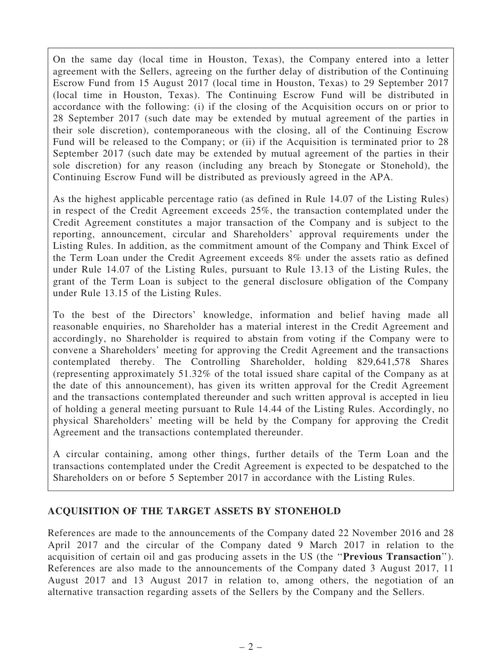On the same day (local time in Houston, Texas), the Company entered into a letter agreement with the Sellers, agreeing on the further delay of distribution of the Continuing Escrow Fund from 15 August 2017 (local time in Houston, Texas) to 29 September 2017 (local time in Houston, Texas). The Continuing Escrow Fund will be distributed in accordance with the following: (i) if the closing of the Acquisition occurs on or prior to 28 September 2017 (such date may be extended by mutual agreement of the parties in their sole discretion), contemporaneous with the closing, all of the Continuing Escrow Fund will be released to the Company; or (ii) if the Acquisition is terminated prior to 28 September 2017 (such date may be extended by mutual agreement of the parties in their sole discretion) for any reason (including any breach by Stonegate or Stonehold), the Continuing Escrow Fund will be distributed as previously agreed in the APA.

As the highest applicable percentage ratio (as defined in Rule 14.07 of the Listing Rules) in respect of the Credit Agreement exceeds 25%, the transaction contemplated under the Credit Agreement constitutes a major transaction of the Company and is subject to the reporting, announcement, circular and Shareholders' approval requirements under the Listing Rules. In addition, as the commitment amount of the Company and Think Excel of the Term Loan under the Credit Agreement exceeds 8% under the assets ratio as defined under Rule 14.07 of the Listing Rules, pursuant to Rule 13.13 of the Listing Rules, the grant of the Term Loan is subject to the general disclosure obligation of the Company under Rule 13.15 of the Listing Rules.

To the best of the Directors' knowledge, information and belief having made all reasonable enquiries, no Shareholder has a material interest in the Credit Agreement and accordingly, no Shareholder is required to abstain from voting if the Company were to convene a Shareholders' meeting for approving the Credit Agreement and the transactions contemplated thereby. The Controlling Shareholder, holding 829,641,578 Shares (representing approximately 51.32% of the total issued share capital of the Company as at the date of this announcement), has given its written approval for the Credit Agreement and the transactions contemplated thereunder and such written approval is accepted in lieu of holding a general meeting pursuant to Rule 14.44 of the Listing Rules. Accordingly, no physical Shareholders' meeting will be held by the Company for approving the Credit Agreement and the transactions contemplated thereunder.

A circular containing, among other things, further details of the Term Loan and the transactions contemplated under the Credit Agreement is expected to be despatched to the Shareholders on or before 5 September 2017 in accordance with the Listing Rules.

### ACQUISITION OF THE TARGET ASSETS BY STONEHOLD

References are made to the announcements of the Company dated 22 November 2016 and 28 April 2017 and the circular of the Company dated 9 March 2017 in relation to the acquisition of certain oil and gas producing assets in the US (the ''Previous Transaction''). References are also made to the announcements of the Company dated 3 August 2017, 11 August 2017 and 13 August 2017 in relation to, among others, the negotiation of an alternative transaction regarding assets of the Sellers by the Company and the Sellers.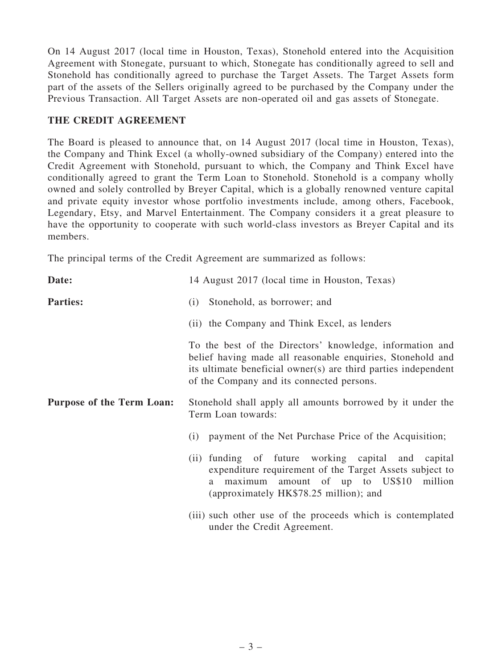On 14 August 2017 (local time in Houston, Texas), Stonehold entered into the Acquisition Agreement with Stonegate, pursuant to which, Stonegate has conditionally agreed to sell and Stonehold has conditionally agreed to purchase the Target Assets. The Target Assets form part of the assets of the Sellers originally agreed to be purchased by the Company under the Previous Transaction. All Target Assets are non-operated oil and gas assets of Stonegate.

# THE CREDIT AGREEMENT

The Board is pleased to announce that, on 14 August 2017 (local time in Houston, Texas), the Company and Think Excel (a wholly-owned subsidiary of the Company) entered into the Credit Agreement with Stonehold, pursuant to which, the Company and Think Excel have conditionally agreed to grant the Term Loan to Stonehold. Stonehold is a company wholly owned and solely controlled by Breyer Capital, which is a globally renowned venture capital and private equity investor whose portfolio investments include, among others, Facebook, Legendary, Etsy, and Marvel Entertainment. The Company considers it a great pleasure to have the opportunity to cooperate with such world-class investors as Breyer Capital and its members.

The principal terms of the Credit Agreement are summarized as follows:

| Date:                            | 14 August 2017 (local time in Houston, Texas)                                                                                                                                                                                         |  |  |  |  |  |
|----------------------------------|---------------------------------------------------------------------------------------------------------------------------------------------------------------------------------------------------------------------------------------|--|--|--|--|--|
| <b>Parties:</b>                  | Stonehold, as borrower; and<br>(i)                                                                                                                                                                                                    |  |  |  |  |  |
|                                  | (ii) the Company and Think Excel, as lenders                                                                                                                                                                                          |  |  |  |  |  |
|                                  | To the best of the Directors' knowledge, information and<br>belief having made all reasonable enquiries, Stonehold and<br>its ultimate beneficial owner(s) are third parties independent<br>of the Company and its connected persons. |  |  |  |  |  |
| <b>Purpose of the Term Loan:</b> | Stonehold shall apply all amounts borrowed by it under the<br>Term Loan towards:                                                                                                                                                      |  |  |  |  |  |
|                                  | payment of the Net Purchase Price of the Acquisition;<br>(i)                                                                                                                                                                          |  |  |  |  |  |
|                                  | (ii) funding of future working capital and<br>capital<br>expenditure requirement of the Target Assets subject to<br>maximum amount of up to US\$10<br>million<br>a -<br>(approximately HK\$78.25 million); and                        |  |  |  |  |  |
|                                  | (iii) such other use of the proceeds which is contemplated<br>under the Credit Agreement.                                                                                                                                             |  |  |  |  |  |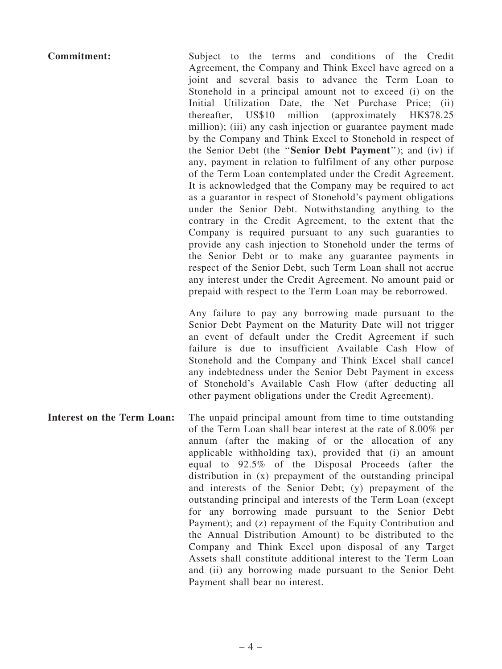Commitment: Subject to the terms and conditions of the Credit Agreement, the Company and Think Excel have agreed on a joint and several basis to advance the Term Loan to Stonehold in a principal amount not to exceed (i) on the Initial Utilization Date, the Net Purchase Price; (ii) thereafter, US\$10 million (approximately HK\$78.25 million); (iii) any cash injection or guarantee payment made by the Company and Think Excel to Stonehold in respect of the Senior Debt (the ''Senior Debt Payment''); and (iv) if any, payment in relation to fulfilment of any other purpose of the Term Loan contemplated under the Credit Agreement. It is acknowledged that the Company may be required to act as a guarantor in respect of Stonehold's payment obligations under the Senior Debt. Notwithstanding anything to the contrary in the Credit Agreement, to the extent that the Company is required pursuant to any such guaranties to provide any cash injection to Stonehold under the terms of the Senior Debt or to make any guarantee payments in respect of the Senior Debt, such Term Loan shall not accrue any interest under the Credit Agreement. No amount paid or prepaid with respect to the Term Loan may be reborrowed. Any failure to pay any borrowing made pursuant to the

Senior Debt Payment on the Maturity Date will not trigger an event of default under the Credit Agreement if such failure is due to insufficient Available Cash Flow of Stonehold and the Company and Think Excel shall cancel any indebtedness under the Senior Debt Payment in excess of Stonehold's Available Cash Flow (after deducting all other payment obligations under the Credit Agreement).

Interest on the Term Loan: The unpaid principal amount from time to time outstanding of the Term Loan shall bear interest at the rate of 8.00% per annum (after the making of or the allocation of any applicable withholding tax), provided that (i) an amount equal to 92.5% of the Disposal Proceeds (after the distribution in (x) prepayment of the outstanding principal and interests of the Senior Debt; (y) prepayment of the outstanding principal and interests of the Term Loan (except for any borrowing made pursuant to the Senior Debt Payment); and (z) repayment of the Equity Contribution and the Annual Distribution Amount) to be distributed to the Company and Think Excel upon disposal of any Target Assets shall constitute additional interest to the Term Loan and (ii) any borrowing made pursuant to the Senior Debt Payment shall bear no interest.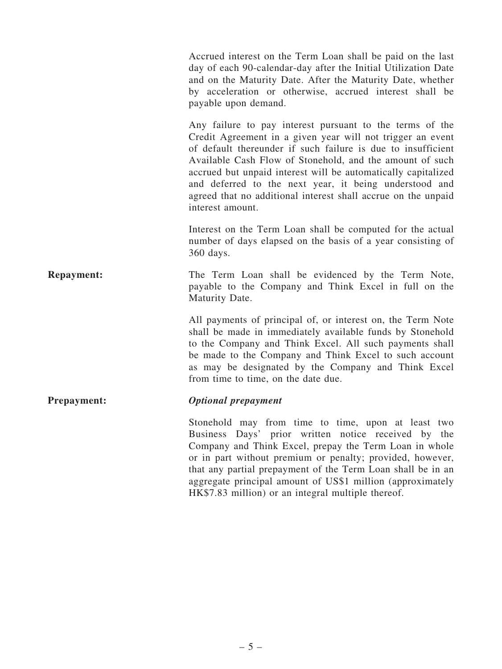Accrued interest on the Term Loan shall be paid on the last day of each 90-calendar-day after the Initial Utilization Date and on the Maturity Date. After the Maturity Date, whether by acceleration or otherwise, accrued interest shall be payable upon demand.

Any failure to pay interest pursuant to the terms of the Credit Agreement in a given year will not trigger an event of default thereunder if such failure is due to insufficient Available Cash Flow of Stonehold, and the amount of such accrued but unpaid interest will be automatically capitalized and deferred to the next year, it being understood and agreed that no additional interest shall accrue on the unpaid interest amount.

Interest on the Term Loan shall be computed for the actual number of days elapsed on the basis of a year consisting of 360 days.

Repayment: The Term Loan shall be evidenced by the Term Note, payable to the Company and Think Excel in full on the Maturity Date.

> All payments of principal of, or interest on, the Term Note shall be made in immediately available funds by Stonehold to the Company and Think Excel. All such payments shall be made to the Company and Think Excel to such account as may be designated by the Company and Think Excel from time to time, on the date due.

### Prepayment: Optional prepayment

Stonehold may from time to time, upon at least two Business Days' prior written notice received by the Company and Think Excel, prepay the Term Loan in whole or in part without premium or penalty; provided, however, that any partial prepayment of the Term Loan shall be in an aggregate principal amount of US\$1 million (approximately HK\$7.83 million) or an integral multiple thereof.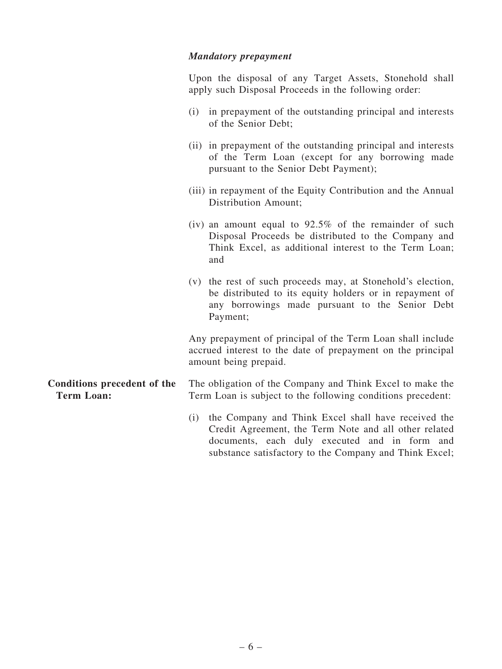### Mandatory prepayment

Upon the disposal of any Target Assets, Stonehold shall apply such Disposal Proceeds in the following order:

- (i) in prepayment of the outstanding principal and interests of the Senior Debt;
- (ii) in prepayment of the outstanding principal and interests of the Term Loan (except for any borrowing made pursuant to the Senior Debt Payment);
- (iii) in repayment of the Equity Contribution and the Annual Distribution Amount;
- (iv) an amount equal to  $92.5\%$  of the remainder of such Disposal Proceeds be distributed to the Company and Think Excel, as additional interest to the Term Loan; and
- (v) the rest of such proceeds may, at Stonehold's election, be distributed to its equity holders or in repayment of any borrowings made pursuant to the Senior Debt Payment;

Any prepayment of principal of the Term Loan shall include accrued interest to the date of prepayment on the principal amount being prepaid.

#### Conditions precedent of the Term Loan: The obligation of the Company and Think Excel to make the Term Loan is subject to the following conditions precedent:

(i) the Company and Think Excel shall have received the Credit Agreement, the Term Note and all other related documents, each duly executed and in form and substance satisfactory to the Company and Think Excel;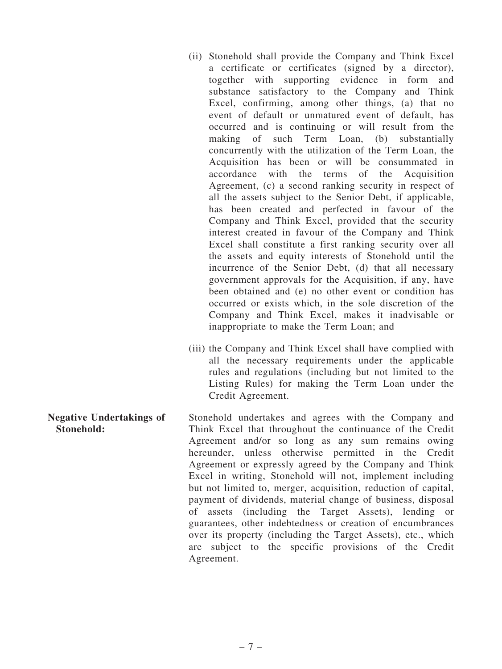- (ii) Stonehold shall provide the Company and Think Excel a certificate or certificates (signed by a director), together with supporting evidence in form and substance satisfactory to the Company and Think Excel, confirming, among other things, (a) that no event of default or unmatured event of default, has occurred and is continuing or will result from the making of such Term Loan, (b) substantially concurrently with the utilization of the Term Loan, the Acquisition has been or will be consummated in accordance with the terms of the Acquisition Agreement, (c) a second ranking security in respect of all the assets subject to the Senior Debt, if applicable, has been created and perfected in favour of the Company and Think Excel, provided that the security interest created in favour of the Company and Think Excel shall constitute a first ranking security over all the assets and equity interests of Stonehold until the incurrence of the Senior Debt, (d) that all necessary government approvals for the Acquisition, if any, have been obtained and (e) no other event or condition has occurred or exists which, in the sole discretion of the Company and Think Excel, makes it inadvisable or inappropriate to make the Term Loan; and
- (iii) the Company and Think Excel shall have complied with all the necessary requirements under the applicable rules and regulations (including but not limited to the Listing Rules) for making the Term Loan under the Credit Agreement.

Negative Undertakings of Stonehold: Stonehold undertakes and agrees with the Company and Think Excel that throughout the continuance of the Credit Agreement and/or so long as any sum remains owing hereunder, unless otherwise permitted in the Credit Agreement or expressly agreed by the Company and Think Excel in writing, Stonehold will not, implement including but not limited to, merger, acquisition, reduction of capital, payment of dividends, material change of business, disposal of assets (including the Target Assets), lending or guarantees, other indebtedness or creation of encumbrances over its property (including the Target Assets), etc., which are subject to the specific provisions of the Credit Agreement.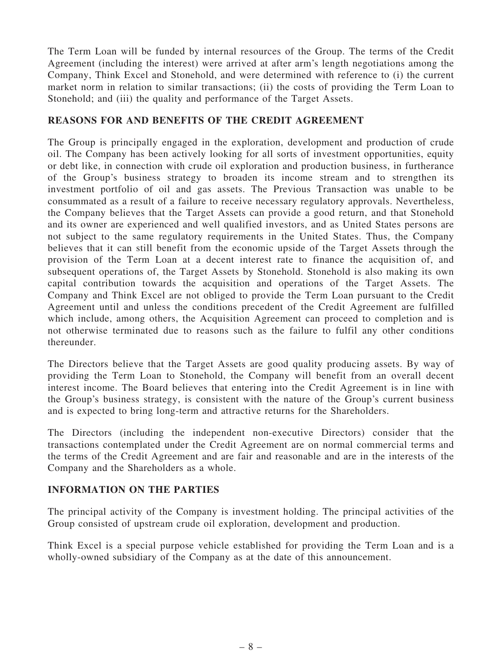The Term Loan will be funded by internal resources of the Group. The terms of the Credit Agreement (including the interest) were arrived at after arm's length negotiations among the Company, Think Excel and Stonehold, and were determined with reference to (i) the current market norm in relation to similar transactions; (ii) the costs of providing the Term Loan to Stonehold; and (iii) the quality and performance of the Target Assets.

### REASONS FOR AND BENEFITS OF THE CREDIT AGREEMENT

The Group is principally engaged in the exploration, development and production of crude oil. The Company has been actively looking for all sorts of investment opportunities, equity or debt like, in connection with crude oil exploration and production business, in furtherance of the Group's business strategy to broaden its income stream and to strengthen its investment portfolio of oil and gas assets. The Previous Transaction was unable to be consummated as a result of a failure to receive necessary regulatory approvals. Nevertheless, the Company believes that the Target Assets can provide a good return, and that Stonehold and its owner are experienced and well qualified investors, and as United States persons are not subject to the same regulatory requirements in the United States. Thus, the Company believes that it can still benefit from the economic upside of the Target Assets through the provision of the Term Loan at a decent interest rate to finance the acquisition of, and subsequent operations of, the Target Assets by Stonehold. Stonehold is also making its own capital contribution towards the acquisition and operations of the Target Assets. The Company and Think Excel are not obliged to provide the Term Loan pursuant to the Credit Agreement until and unless the conditions precedent of the Credit Agreement are fulfilled which include, among others, the Acquisition Agreement can proceed to completion and is not otherwise terminated due to reasons such as the failure to fulfil any other conditions thereunder.

The Directors believe that the Target Assets are good quality producing assets. By way of providing the Term Loan to Stonehold, the Company will benefit from an overall decent interest income. The Board believes that entering into the Credit Agreement is in line with the Group's business strategy, is consistent with the nature of the Group's current business and is expected to bring long-term and attractive returns for the Shareholders.

The Directors (including the independent non-executive Directors) consider that the transactions contemplated under the Credit Agreement are on normal commercial terms and the terms of the Credit Agreement and are fair and reasonable and are in the interests of the Company and the Shareholders as a whole.

# INFORMATION ON THE PARTIES

The principal activity of the Company is investment holding. The principal activities of the Group consisted of upstream crude oil exploration, development and production.

Think Excel is a special purpose vehicle established for providing the Term Loan and is a wholly-owned subsidiary of the Company as at the date of this announcement.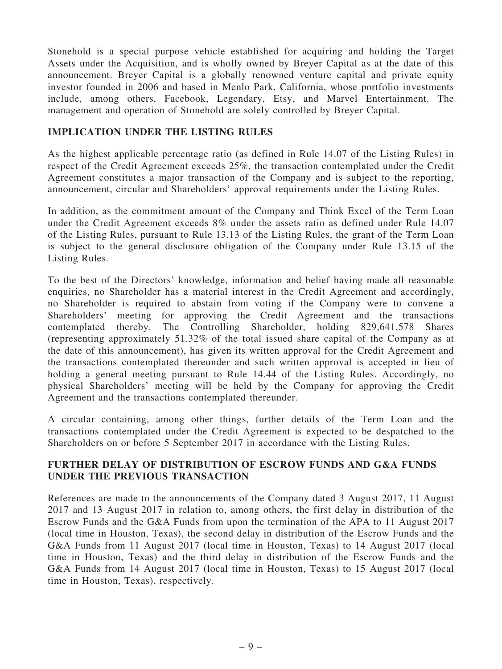Stonehold is a special purpose vehicle established for acquiring and holding the Target Assets under the Acquisition, and is wholly owned by Breyer Capital as at the date of this announcement. Breyer Capital is a globally renowned venture capital and private equity investor founded in 2006 and based in Menlo Park, California, whose portfolio investments include, among others, Facebook, Legendary, Etsy, and Marvel Entertainment. The management and operation of Stonehold are solely controlled by Breyer Capital.

### IMPLICATION UNDER THE LISTING RULES

As the highest applicable percentage ratio (as defined in Rule 14.07 of the Listing Rules) in respect of the Credit Agreement exceeds 25%, the transaction contemplated under the Credit Agreement constitutes a major transaction of the Company and is subject to the reporting, announcement, circular and Shareholders' approval requirements under the Listing Rules.

In addition, as the commitment amount of the Company and Think Excel of the Term Loan under the Credit Agreement exceeds 8% under the assets ratio as defined under Rule 14.07 of the Listing Rules, pursuant to Rule 13.13 of the Listing Rules, the grant of the Term Loan is subject to the general disclosure obligation of the Company under Rule 13.15 of the Listing Rules.

To the best of the Directors' knowledge, information and belief having made all reasonable enquiries, no Shareholder has a material interest in the Credit Agreement and accordingly, no Shareholder is required to abstain from voting if the Company were to convene a Shareholders' meeting for approving the Credit Agreement and the transactions contemplated thereby. The Controlling Shareholder, holding 829,641,578 Shares (representing approximately 51.32% of the total issued share capital of the Company as at the date of this announcement), has given its written approval for the Credit Agreement and the transactions contemplated thereunder and such written approval is accepted in lieu of holding a general meeting pursuant to Rule 14.44 of the Listing Rules. Accordingly, no physical Shareholders' meeting will be held by the Company for approving the Credit Agreement and the transactions contemplated thereunder.

A circular containing, among other things, further details of the Term Loan and the transactions contemplated under the Credit Agreement is expected to be despatched to the Shareholders on or before 5 September 2017 in accordance with the Listing Rules.

### FURTHER DELAY OF DISTRIBUTION OF ESCROW FUNDS AND G&A FUNDS UNDER THE PREVIOUS TRANSACTION

References are made to the announcements of the Company dated 3 August 2017, 11 August 2017 and 13 August 2017 in relation to, among others, the first delay in distribution of the Escrow Funds and the G&A Funds from upon the termination of the APA to 11 August 2017 (local time in Houston, Texas), the second delay in distribution of the Escrow Funds and the G&A Funds from 11 August 2017 (local time in Houston, Texas) to 14 August 2017 (local time in Houston, Texas) and the third delay in distribution of the Escrow Funds and the G&A Funds from 14 August 2017 (local time in Houston, Texas) to 15 August 2017 (local time in Houston, Texas), respectively.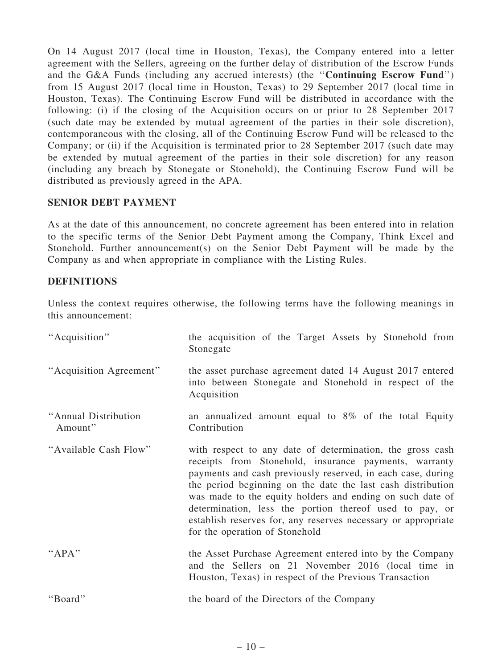On 14 August 2017 (local time in Houston, Texas), the Company entered into a letter agreement with the Sellers, agreeing on the further delay of distribution of the Escrow Funds and the G&A Funds (including any accrued interests) (the ''Continuing Escrow Fund'') from 15 August 2017 (local time in Houston, Texas) to 29 September 2017 (local time in Houston, Texas). The Continuing Escrow Fund will be distributed in accordance with the following: (i) if the closing of the Acquisition occurs on or prior to 28 September 2017 (such date may be extended by mutual agreement of the parties in their sole discretion), contemporaneous with the closing, all of the Continuing Escrow Fund will be released to the Company; or (ii) if the Acquisition is terminated prior to 28 September 2017 (such date may be extended by mutual agreement of the parties in their sole discretion) for any reason (including any breach by Stonegate or Stonehold), the Continuing Escrow Fund will be distributed as previously agreed in the APA.

## SENIOR DEBT PAYMENT

As at the date of this announcement, no concrete agreement has been entered into in relation to the specific terms of the Senior Debt Payment among the Company, Think Excel and Stonehold. Further announcement(s) on the Senior Debt Payment will be made by the Company as and when appropriate in compliance with the Listing Rules.

## **DEFINITIONS**

Unless the context requires otherwise, the following terms have the following meanings in this announcement:

| "Acquisition"                   | the acquisition of the Target Assets by Stonehold from<br>Stonegate                                                                                                                                                                                                                                                                                                                                                                                                         |  |  |  |  |  |  |  |  |
|---------------------------------|-----------------------------------------------------------------------------------------------------------------------------------------------------------------------------------------------------------------------------------------------------------------------------------------------------------------------------------------------------------------------------------------------------------------------------------------------------------------------------|--|--|--|--|--|--|--|--|
| "Acquisition Agreement"         | the asset purchase agreement dated 14 August 2017 entered<br>into between Stonegate and Stonehold in respect of the<br>Acquisition                                                                                                                                                                                                                                                                                                                                          |  |  |  |  |  |  |  |  |
| "Annual Distribution<br>Amount" | an annualized amount equal to $8\%$ of the total Equity<br>Contribution                                                                                                                                                                                                                                                                                                                                                                                                     |  |  |  |  |  |  |  |  |
| "Available Cash Flow"           | with respect to any date of determination, the gross cash<br>receipts from Stonehold, insurance payments, warranty<br>payments and cash previously reserved, in each case, during<br>the period beginning on the date the last cash distribution<br>was made to the equity holders and ending on such date of<br>determination, less the portion thereof used to pay, or<br>establish reserves for, any reserves necessary or appropriate<br>for the operation of Stonehold |  |  |  |  |  |  |  |  |
| " $APA$ "                       | the Asset Purchase Agreement entered into by the Company<br>and the Sellers on 21 November 2016 (local time in<br>Houston, Texas) in respect of the Previous Transaction                                                                                                                                                                                                                                                                                                    |  |  |  |  |  |  |  |  |
| "Board"                         | the board of the Directors of the Company                                                                                                                                                                                                                                                                                                                                                                                                                                   |  |  |  |  |  |  |  |  |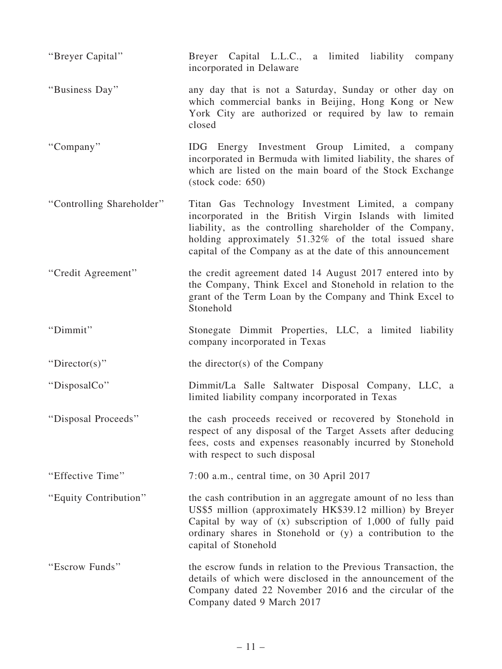| "Breyer Capital"          | Breyer Capital L.L.C., a limited liability company<br>incorporated in Delaware                                                                                                                                                                                                                     |  |  |  |  |  |  |  |
|---------------------------|----------------------------------------------------------------------------------------------------------------------------------------------------------------------------------------------------------------------------------------------------------------------------------------------------|--|--|--|--|--|--|--|
| "Business Day"            | any day that is not a Saturday, Sunday or other day on<br>which commercial banks in Beijing, Hong Kong or New<br>York City are authorized or required by law to remain<br>closed                                                                                                                   |  |  |  |  |  |  |  |
| "Company"                 | IDG Energy Investment Group Limited, a company<br>incorporated in Bermuda with limited liability, the shares of<br>which are listed on the main board of the Stock Exchange<br>$(\text{stock code: } 650)$                                                                                         |  |  |  |  |  |  |  |
| "Controlling Shareholder" | Titan Gas Technology Investment Limited, a company<br>incorporated in the British Virgin Islands with limited<br>liability, as the controlling shareholder of the Company,<br>holding approximately 51.32% of the total issued share<br>capital of the Company as at the date of this announcement |  |  |  |  |  |  |  |
| "Credit Agreement"        | the credit agreement dated 14 August 2017 entered into by<br>the Company, Think Excel and Stonehold in relation to the<br>grant of the Term Loan by the Company and Think Excel to<br>Stonehold                                                                                                    |  |  |  |  |  |  |  |
| "Dimmit"                  | Stonegate Dimmit Properties, LLC, a limited liability<br>company incorporated in Texas                                                                                                                                                                                                             |  |  |  |  |  |  |  |
| "Director(s)"             | the director(s) of the Company                                                                                                                                                                                                                                                                     |  |  |  |  |  |  |  |
| "DisposalCo"              | Dimmit/La Salle Saltwater Disposal Company, LLC, a<br>limited liability company incorporated in Texas                                                                                                                                                                                              |  |  |  |  |  |  |  |
| "Disposal Proceeds"       | the cash proceeds received or recovered by Stonehold in<br>respect of any disposal of the Target Assets after deducing<br>fees, costs and expenses reasonably incurred by Stonehold<br>with respect to such disposal                                                                               |  |  |  |  |  |  |  |
| "Effective Time"          | $7:00$ a.m., central time, on 30 April 2017                                                                                                                                                                                                                                                        |  |  |  |  |  |  |  |
| "Equity Contribution"     | the cash contribution in an aggregate amount of no less than<br>US\$5 million (approximately HK\$39.12 million) by Breyer<br>Capital by way of $(x)$ subscription of 1,000 of fully paid<br>ordinary shares in Stonehold or (y) a contribution to the<br>capital of Stonehold                      |  |  |  |  |  |  |  |
| "Escrow Funds"            | the escrow funds in relation to the Previous Transaction, the<br>details of which were disclosed in the announcement of the<br>Company dated 22 November 2016 and the circular of the<br>Company dated 9 March 2017                                                                                |  |  |  |  |  |  |  |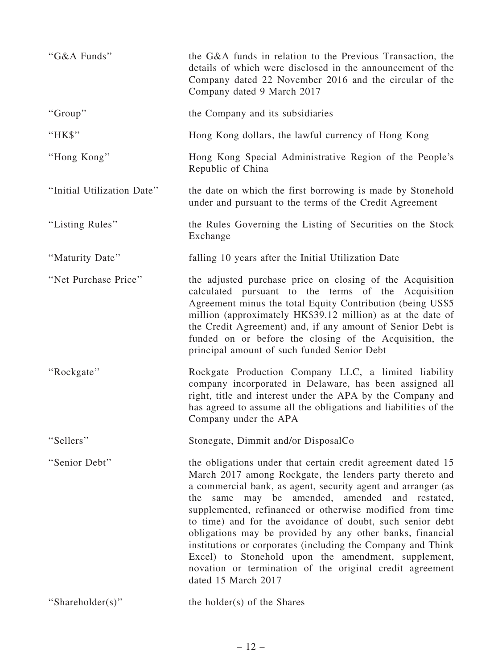| "G&A Funds"                | the G&A funds in relation to the Previous Transaction, the<br>details of which were disclosed in the announcement of the<br>Company dated 22 November 2016 and the circular of the<br>Company dated 9 March 2017                                                                                                                                                                                                                                                                                                                                                                                                                                |  |  |  |  |
|----------------------------|-------------------------------------------------------------------------------------------------------------------------------------------------------------------------------------------------------------------------------------------------------------------------------------------------------------------------------------------------------------------------------------------------------------------------------------------------------------------------------------------------------------------------------------------------------------------------------------------------------------------------------------------------|--|--|--|--|
| "Group"                    | the Company and its subsidiaries                                                                                                                                                                                                                                                                                                                                                                                                                                                                                                                                                                                                                |  |  |  |  |
| "HK\$"                     | Hong Kong dollars, the lawful currency of Hong Kong                                                                                                                                                                                                                                                                                                                                                                                                                                                                                                                                                                                             |  |  |  |  |
| "Hong Kong"                | Hong Kong Special Administrative Region of the People's<br>Republic of China                                                                                                                                                                                                                                                                                                                                                                                                                                                                                                                                                                    |  |  |  |  |
| "Initial Utilization Date" | the date on which the first borrowing is made by Stonehold<br>under and pursuant to the terms of the Credit Agreement                                                                                                                                                                                                                                                                                                                                                                                                                                                                                                                           |  |  |  |  |
| "Listing Rules"            | the Rules Governing the Listing of Securities on the Stock<br>Exchange                                                                                                                                                                                                                                                                                                                                                                                                                                                                                                                                                                          |  |  |  |  |
| "Maturity Date"            | falling 10 years after the Initial Utilization Date                                                                                                                                                                                                                                                                                                                                                                                                                                                                                                                                                                                             |  |  |  |  |
| "Net Purchase Price"       | the adjusted purchase price on closing of the Acquisition<br>calculated pursuant to the terms of the Acquisition<br>Agreement minus the total Equity Contribution (being US\$5)<br>million (approximately HK\$39.12 million) as at the date of<br>the Credit Agreement) and, if any amount of Senior Debt is<br>funded on or before the closing of the Acquisition, the<br>principal amount of such funded Senior Debt                                                                                                                                                                                                                          |  |  |  |  |
| "Rockgate"                 | Rockgate Production Company LLC, a limited liability<br>company incorporated in Delaware, has been assigned all<br>right, title and interest under the APA by the Company and<br>has agreed to assume all the obligations and liabilities of the<br>Company under the APA                                                                                                                                                                                                                                                                                                                                                                       |  |  |  |  |
| "Sellers"                  | Stonegate, Dimmit and/or DisposalCo                                                                                                                                                                                                                                                                                                                                                                                                                                                                                                                                                                                                             |  |  |  |  |
| "Senior Debt"              | the obligations under that certain credit agreement dated 15<br>March 2017 among Rockgate, the lenders party thereto and<br>a commercial bank, as agent, security agent and arranger (as<br>may be amended, amended and restated,<br>the<br>same<br>supplemented, refinanced or otherwise modified from time<br>to time) and for the avoidance of doubt, such senior debt<br>obligations may be provided by any other banks, financial<br>institutions or corporates (including the Company and Think<br>Excel) to Stonehold upon the amendment, supplement,<br>novation or termination of the original credit agreement<br>dated 15 March 2017 |  |  |  |  |
| "Shareholder(s)"           | the holder(s) of the Shares                                                                                                                                                                                                                                                                                                                                                                                                                                                                                                                                                                                                                     |  |  |  |  |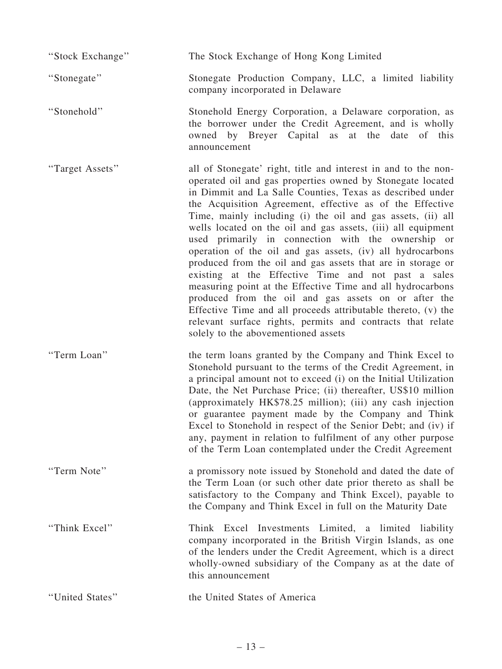''Stock Exchange'' The Stock Exchange of Hong Kong Limited

''Stonegate'' Stonegate Production Company, LLC, a limited liability company incorporated in Delaware

''Stonehold'' Stonehold Energy Corporation, a Delaware corporation, as the borrower under the Credit Agreement, and is wholly owned by Breyer Capital as at the date of this announcement

''Target Assets'' all of Stonegate' right, title and interest in and to the nonoperated oil and gas properties owned by Stonegate located in Dimmit and La Salle Counties, Texas as described under the Acquisition Agreement, effective as of the Effective Time, mainly including (i) the oil and gas assets, (ii) all wells located on the oil and gas assets, (iii) all equipment used primarily in connection with the ownership or operation of the oil and gas assets, (iv) all hydrocarbons produced from the oil and gas assets that are in storage or existing at the Effective Time and not past a sales measuring point at the Effective Time and all hydrocarbons produced from the oil and gas assets on or after the Effective Time and all proceeds attributable thereto, (v) the relevant surface rights, permits and contracts that relate solely to the abovementioned assets

''Term Loan'' the term loans granted by the Company and Think Excel to Stonehold pursuant to the terms of the Credit Agreement, in a principal amount not to exceed (i) on the Initial Utilization Date, the Net Purchase Price; (ii) thereafter, US\$10 million (approximately HK\$78.25 million); (iii) any cash injection or guarantee payment made by the Company and Think Excel to Stonehold in respect of the Senior Debt; and (iv) if any, payment in relation to fulfilment of any other purpose of the Term Loan contemplated under the Credit Agreement

''Term Note'' a promissory note issued by Stonehold and dated the date of the Term Loan (or such other date prior thereto as shall be satisfactory to the Company and Think Excel), payable to the Company and Think Excel in full on the Maturity Date

''Think Excel'' Think Excel Investments Limited, a limited liability company incorporated in the British Virgin Islands, as one of the lenders under the Credit Agreement, which is a direct wholly-owned subsidiary of the Company as at the date of this announcement

''United States'' the United States of America